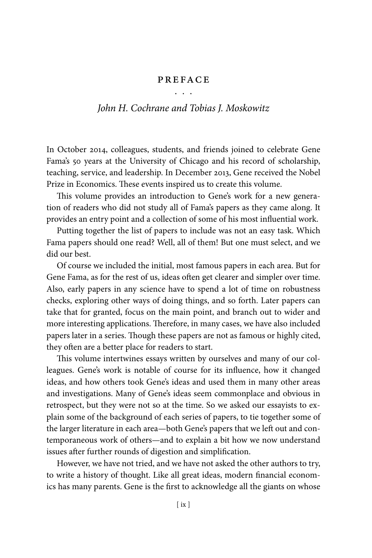## **PREFACE** . . .

## *John H. Cochrane and Tobias J. Moskowitz*

In October 2014, colleagues, students, and friends joined to celebrate Gene Fama's 50 years at the University of Chicago and his record of scholarship, teaching, service, and leadership. In December 2013, Gene received the Nobel Prize in Economics. These events inspired us to create this volume.

This volume provides an introduction to Gene's work for a new generation of readers who did not study all of Fama's papers as they came along. It provides an entry point and a collection of some of his most influential work.

Putting together the list of papers to include was not an easy task. Which Fama papers should one read? Well, all of them! But one must select, and we did our best.

Of course we included the initial, most famous papers in each area. But for Gene Fama, as for the rest of us, ideas often get clearer and simpler over time. Also, early papers in any science have to spend a lot of time on robustness checks, exploring other ways of doing things, and so forth. Later papers can take that for granted, focus on the main point, and branch out to wider and more interesting applications. Therefore, in many cases, we have also included papers later in a series. Though these papers are not as famous or highly cited, they often are a better place for readers to start.

This volume intertwines essays written by ourselves and many of our colleagues. Gene's work is notable of course for its influence, how it changed ideas, and how others took Gene's ideas and used them in many other areas and investigations. Many of Gene's ideas seem commonplace and obvious in retrospect, but they were not so at the time. So we asked our essayists to explain some of the background of each series of papers, to tie together some of the larger literature in each area—both Gene's papers that we left out and contemporaneous work of others—and to explain a bit how we now understand issues after further rounds of digestion and simplification.

However, we have not tried, and we have not asked the other authors to try, to write a history of thought. Like all great ideas, modern financial economics has many parents. Gene is the first to acknowledge all the giants on whose